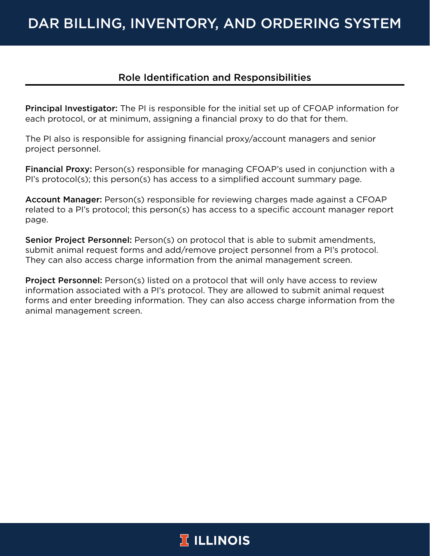# DAR BILLING, INVENTORY, AND ORDERING SYSTEM

# Role Identification and Responsibilities

**Principal Investigator:** The PI is responsible for the initial set up of CFOAP information for each protocol, or at minimum, assigning a financial proxy to do that for them.

The PI also is responsible for assigning financial proxy/account managers and senior project personnel.

Financial Proxy: Person(s) responsible for managing CFOAP's used in conjunction with a PI's protocol(s); this person(s) has access to a simplified account summary page.

Account Manager: Person(s) responsible for reviewing charges made against a CFOAP related to a PI's protocol; this person(s) has access to a specific account manager report page.

Senior Project Personnel: Person(s) on protocol that is able to submit amendments, submit animal request forms and add/remove project personnel from a PI's protocol. They can also access charge information from the animal management screen.

Project Personnel: Person(s) listed on a protocol that will only have access to review information associated with a PI's protocol. They are allowed to submit animal request forms and enter breeding information. They can also access charge information from the animal management screen.

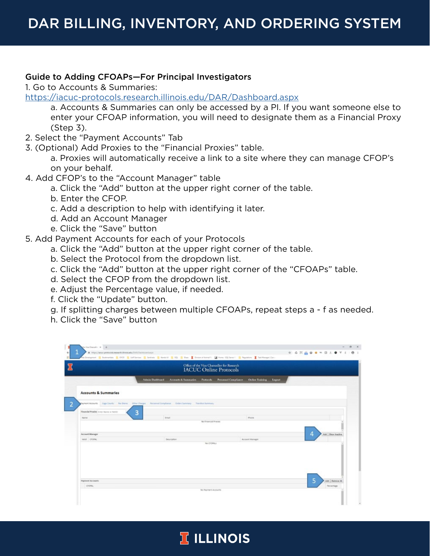#### Guide to Adding CFOAPs—For Principal Investigators

1. Go to Accounts & Summaries:

<https://iacuc-protocols.research.illinois.edu/DAR/Dashboard.aspx>

a. Accounts & Summaries can only be accessed by a PI. If you want someone else to enter your CFOAP information, you will need to designate them as a Financial Proxy (Step 3).

- 2. Select the "Payment Accounts" Tab
- 3. (Optional) Add Proxies to the "Financial Proxies" table.

a. Proxies will automatically receive a link to a site where they can manage CFOP's on your behalf.

- 4. Add CFOP's to the "Account Manager" table
	- a. Click the "Add" button at the upper right corner of the table.
	- b. Enter the CFOP.
	- c. Add a description to help with identifying it later.
	- d. Add an Account Manager
	- e. Click the "Save" button
- 5. Add Payment Accounts for each of your Protocols
	- a. Click the "Add" button at the upper right corner of the table.
	- b. Select the Protocol from the dropdown list.
	- c. Click the "Add" button at the upper right corner of the "CFOAPs" table.
	- d. Select the CFOP from the dropdown list.
	- e. Adjust the Percentage value, if needed.
	- f. Click the "Update" button.
	- g. If splitting charges between multiple CFOAPs, repeat steps a f as needed.
	- h. Click the "Save" button

|                                              |                                                                                             | Office of the Vice Chancellor for Research<br><b>IACUC Online Protocols</b>                 |                     |
|----------------------------------------------|---------------------------------------------------------------------------------------------|---------------------------------------------------------------------------------------------|---------------------|
|                                              | Admin Dashboard                                                                             | Accounts & Summaries - Pertocols - Personnel Compliance<br><b>Online Training</b><br>Logout |                     |
| <b>Accounts &amp; Summaries</b>              |                                                                                             |                                                                                             |                     |
| LENANDA TRANSPER                             | Cape Counts Per Dieres Other Diarges Personnel Compliance Cyclers Summary Transfers Summary |                                                                                             |                     |
| 3<br>Financial Propies: Exter Name or Netto- |                                                                                             |                                                                                             |                     |
| Name                                         | Enat.                                                                                       | <b>Phone</b>                                                                                |                     |
|                                              |                                                                                             | No Financial Proces                                                                         |                     |
| <b>Account Manager</b>                       |                                                                                             |                                                                                             | 4                   |
| value croves.                                | <b>Desortation</b>                                                                          | Account Manager                                                                             | Add   Show Inactive |
|                                              |                                                                                             | No CFORM.s.                                                                                 |                     |
|                                              |                                                                                             |                                                                                             |                     |
|                                              |                                                                                             |                                                                                             |                     |
|                                              |                                                                                             |                                                                                             |                     |
|                                              |                                                                                             |                                                                                             |                     |
|                                              |                                                                                             |                                                                                             |                     |

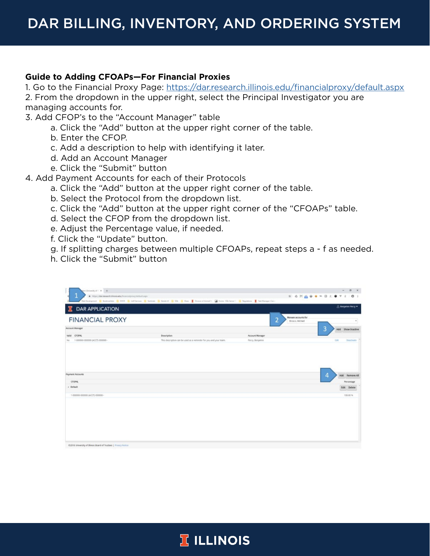#### **Guide to Adding CFOAPs—For Financial Proxies**

1. Go to the Financial Proxy Page:<https://dar.research.illinois.edu/financialproxy/default.aspx> 2. From the dropdown in the upper right, select the Principal Investigator you are managing accounts for.

- 3. Add CFOP's to the "Account Manager" table
	- a. Click the "Add" button at the upper right corner of the table.
	- b. Enter the CFOP.
	- c. Add a description to help with identifying it later.
	- d. Add an Account Manager
	- e. Click the "Submit" button
- 4. Add Payment Accounts for each of their Protocols
	- a. Click the "Add" button at the upper right corner of the table.
	- b. Select the Protocol from the dropdown list.
	- c. Click the "Add" button at the upper right corner of the "CFOAPs" table.
	- d. Select the CFOP from the dropdown list.
	- e. Adjust the Percentage value, if needed.
	- f. Click the "Update" button.
	- g. If splitting charges between multiple CFOAPs, repeat steps a f as needed.
	- h. Click the "Submit" button

| problems of C.X. +                                                 |                                                                                                                                                                                                                                |                 | $ \alpha$ x                            |
|--------------------------------------------------------------------|--------------------------------------------------------------------------------------------------------------------------------------------------------------------------------------------------------------------------------|-----------------|----------------------------------------|
| 1<br># https://dacressorth.itinois.edu/financialproxy/default.org/ | Web Development   Septembles   OVCE   Unfiberium   Sentech   Sentech   SQL   Sam   Donne of Annal 1,   Steven   St. Senat:   St. September   St. Senator   St. Senator   St. Senator   St. Senator   St. Senator   St. Senator |                 | * GHAOO*BLOY ! 0 !                     |
| <b>DAR APPLICATION</b>                                             |                                                                                                                                                                                                                                |                 | <b>&amp; tespma Perry</b> ₩            |
| <b>FINANCIAL PROXY</b>                                             |                                                                                                                                                                                                                                | $\overline{2}$  | Manage accounts for<br>Brosco, Michael |
| <b>Account Manager</b>                                             |                                                                                                                                                                                                                                |                 | 3<br>Add Show Inactive                 |
| Valid CFORML                                                       | Description                                                                                                                                                                                                                    | Account Manager |                                        |
| 1-000000-000000-(ACCT)-000000-<br>No                               | This description can be used as a reminder for you and your team.                                                                                                                                                              | Perzy, Benjamin | Este<br><b>Deachwate</b>               |
| Fayment Accounts                                                   |                                                                                                                                                                                                                                |                 | 4<br>Add Remove All                    |
| <b>CFOPAL</b>                                                      |                                                                                                                                                                                                                                |                 | Percentage                             |
| - Detault                                                          |                                                                                                                                                                                                                                |                 | Edit Delete                            |
|                                                                    |                                                                                                                                                                                                                                |                 | 130.00 %                               |
|                                                                    |                                                                                                                                                                                                                                |                 |                                        |
|                                                                    |                                                                                                                                                                                                                                |                 |                                        |
| C2018 University of Bleass Board of Trustees   Privacy Notice      |                                                                                                                                                                                                                                |                 |                                        |

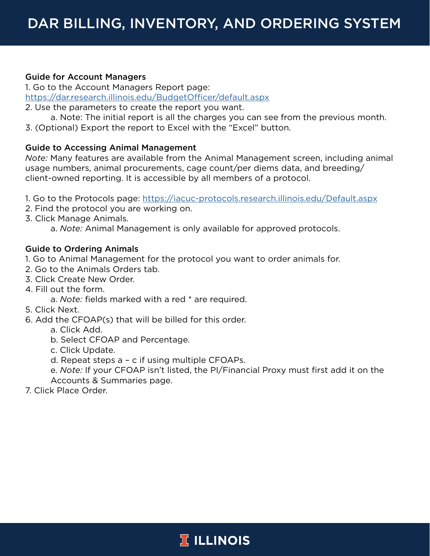## Guide for Account Managers

1. Go to the Account Managers Report page: <https://dar.research.illinois.edu/BudgetOfficer/default.aspx>

2. Use the parameters to create the report you want.

a. Note: The initial report is all the charges you can see from the previous month. 3. (Optional) Export the report to Excel with the "Excel" button.

## Guide to Accessing Animal Management

*Note:* Many features are available from the Animal Management screen, including animal usage numbers, animal procurements, cage count/per diems data, and breeding/ client-owned reporting. It is accessible by all members of a protocol.

1. Go to the Protocols page:<https://iacuc-protocols.research.illinois.edu/Default.aspx>

- 2. Find the protocol you are working on.
- 3. Click Manage Animals.

a. *Note:* Animal Management is only available for approved protocols.

## Guide to Ordering Animals

1. Go to Animal Management for the protocol you want to order animals for.

- 2. Go to the Animals Orders tab.
- 3. Click Create New Order.
- 4. Fill out the form.
- a. *Note:* fields marked with a red \* are required.
- 5. Click Next.
- 6. Add the CFOAP(s) that will be billed for this order.
	- a. Click Add.
	- b. Select CFOAP and Percentage.
	- c. Click Update.
	- d. Repeat steps a c if using multiple CFOAPs.

e. *Note:* If your CFOAP isn't listed, the PI/Financial Proxy must first add it on the Accounts & Summaries page.

7. Click Place Order.